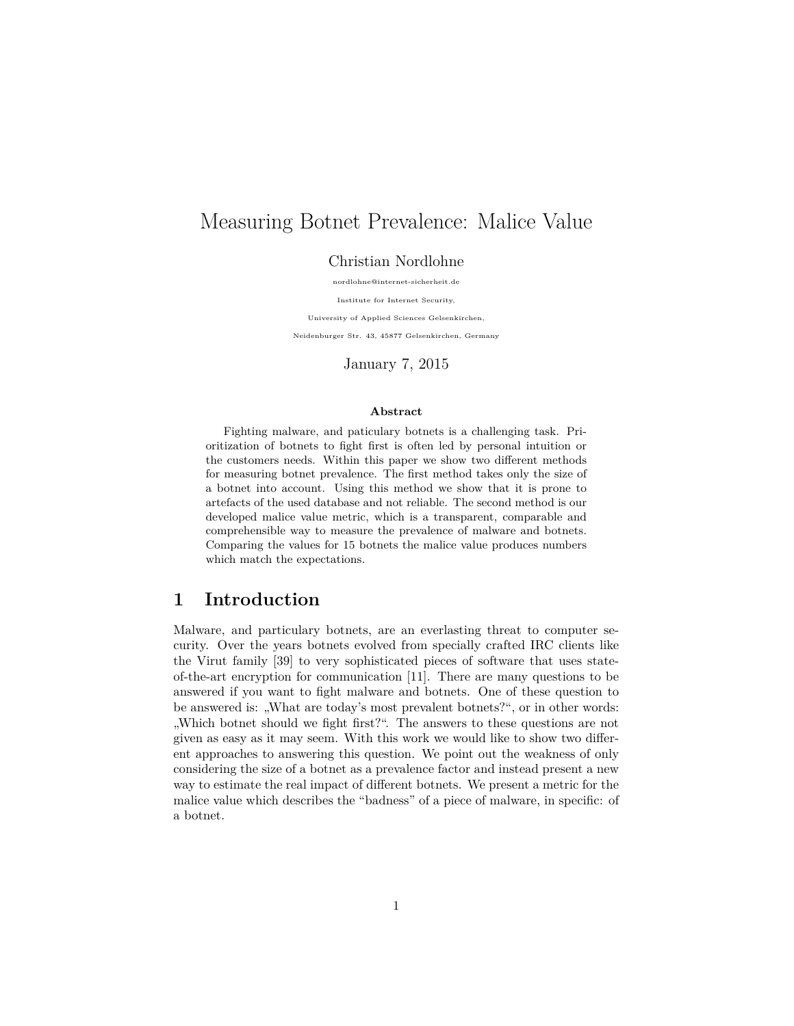# Measuring Botnet Prevalence: Malice Value

Christian Nordlohne

nordlohne@internet-sicherheit.de

Institute for Internet Security,

University of Applied Sciences Gelsenkirchen, Neidenburger Str. 43, 45877 Gelsenkirchen, Germany

January 7, 2015

#### **Abstract**

Fighting malware, and paticulary botnets is a challenging task. Prioritization of botnets to fight first is often led by personal intuition or the customers needs. Within this paper we show two different methods for measuring botnet prevalence. The first method takes only the size of a botnet into account. Using this method we show that it is prone to artefacts of the used database and not reliable. The second method is our developed malice value metric, which is a transparent, comparable and comprehensible way to measure the prevalence of malware and botnets. Comparing the values for 15 botnets the malice value produces numbers which match the expectations.

# **1 Introduction**

Malware, and particulary botnets, are an everlasting threat to computer security. Over the years botnets evolved from specially crafted IRC clients like the Virut family [39] to very sophisticated pieces of software that uses stateof-the-art encryption for communication [11]. There are many questions to be answered if you want to fight malware and botnets. One of these question to be answered is: "What are today's most prevalent botnets?", or in other words: "Which botnet should we fight first?". The answers to these questions are not given as easy as it may seem. With this work we would like to show two different approaches to answering this question. We point out the weakness of only considering the size of a botnet as a prevalence factor and instead present a new way to estimate the real impact of different botnets. We present a metric for the malice value which describes the "badness" of a piece of malware, in specific: of a botnet.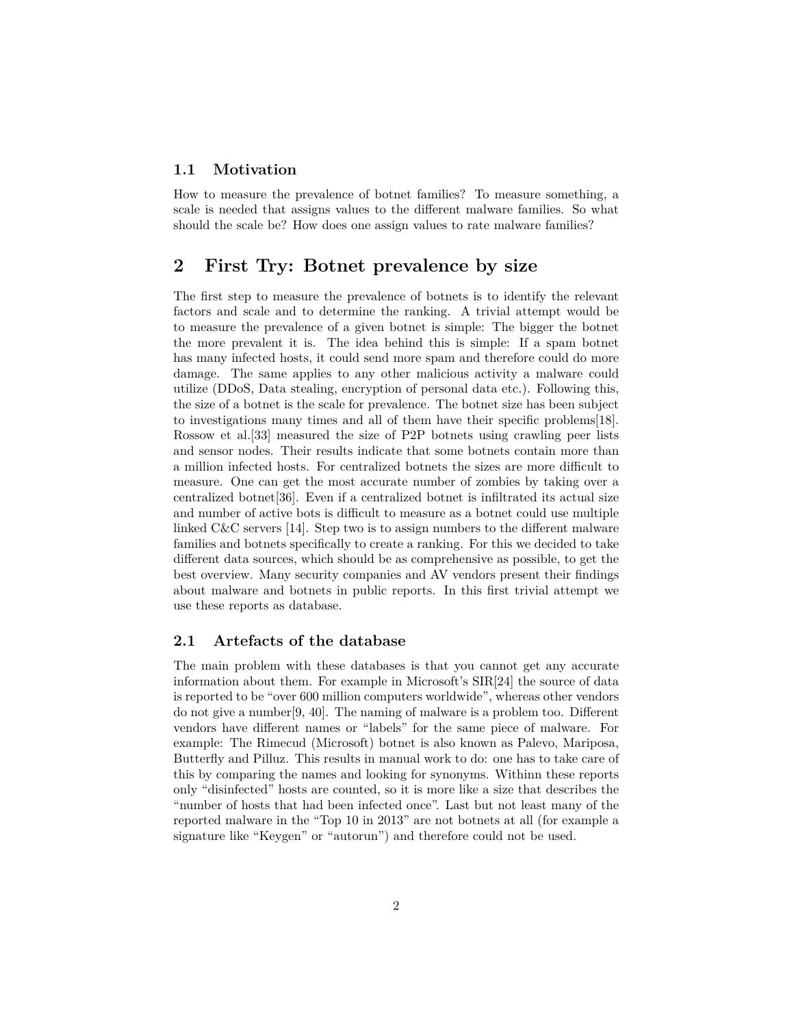### **1.1 Motivation**

How to measure the prevalence of botnet families? To measure something, a scale is needed that assigns values to the different malware families. So what should the scale be? How does one assign values to rate malware families?

# **2 First Try: Botnet prevalence by size**

The first step to measure the prevalence of botnets is to identify the relevant factors and scale and to determine the ranking. A trivial attempt would be to measure the prevalence of a given botnet is simple: The bigger the botnet the more prevalent it is. The idea behind this is simple: If a spam botnet has many infected hosts, it could send more spam and therefore could do more damage. The same applies to any other malicious activity a malware could utilize (DDoS, Data stealing, encryption of personal data etc.). Following this, the size of a botnet is the scale for prevalence. The botnet size has been subject to investigations many times and all of them have their specific problems[18]. Rossow et al.[33] measured the size of P2P botnets using crawling peer lists and sensor nodes. Their results indicate that some botnets contain more than a million infected hosts. For centralized botnets the sizes are more difficult to measure. One can get the most accurate number of zombies by taking over a centralized botnet[36]. Even if a centralized botnet is infiltrated its actual size and number of active bots is difficult to measure as a botnet could use multiple linked C&C servers [14]. Step two is to assign numbers to the different malware families and botnets specifically to create a ranking. For this we decided to take different data sources, which should be as comprehensive as possible, to get the best overview. Many security companies and AV vendors present their findings about malware and botnets in public reports. In this first trivial attempt we use these reports as database.

### **2.1 Artefacts of the database**

The main problem with these databases is that you cannot get any accurate information about them. For example in Microsoft's SIR[24] the source of data is reported to be "over 600 million computers worldwide", whereas other vendors do not give a number[9, 40]. The naming of malware is a problem too. Different vendors have different names or "labels" for the same piece of malware. For example: The Rimecud (Microsoft) botnet is also known as Palevo, Mariposa, Butterfly and Pilluz. This results in manual work to do: one has to take care of this by comparing the names and looking for synonyms. Withinn these reports only "disinfected" hosts are counted, so it is more like a size that describes the "number of hosts that had been infected once". Last but not least many of the reported malware in the "Top 10 in 2013" are not botnets at all (for example a signature like "Keygen" or "autorun") and therefore could not be used.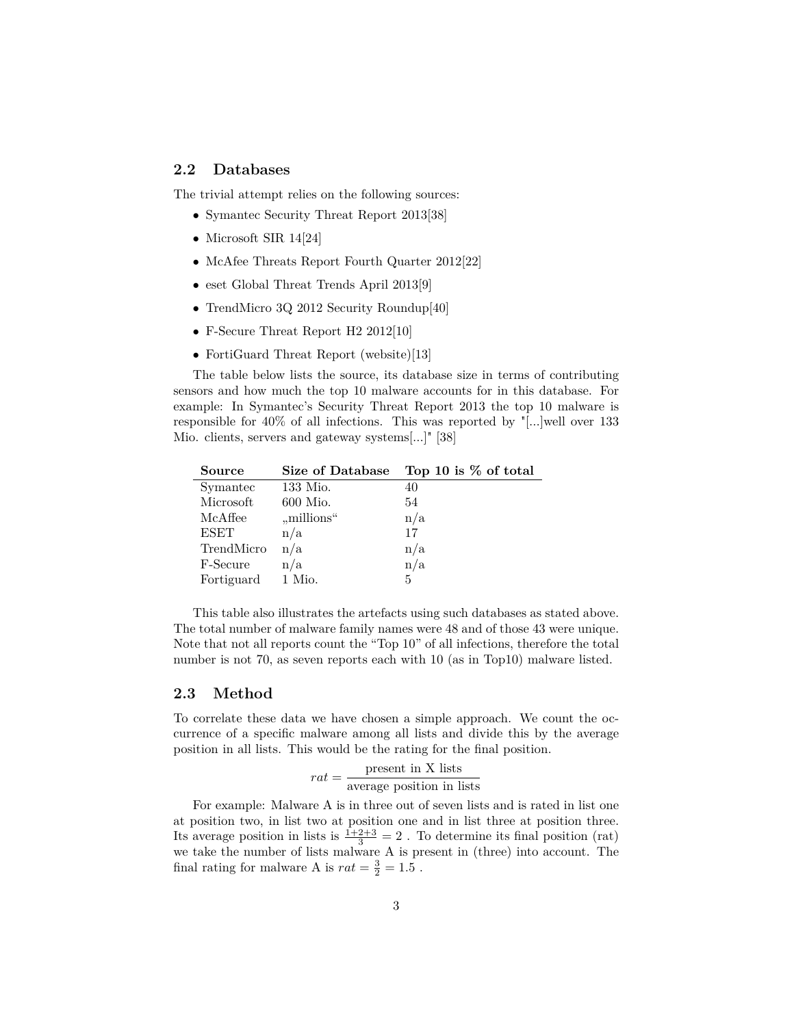### **2.2 Databases**

The trivial attempt relies on the following sources:

- Symantec Security Threat Report 2013[38]
- Microsoft SIR 14[24]
- McAfee Threats Report Fourth Quarter 2012[22]
- eset Global Threat Trends April 2013[9]
- TrendMicro 3Q 2012 Security Roundup[40]
- F-Secure Threat Report H2 2012[10]
- FortiGuard Threat Report (website)[13]

The table below lists the source, its database size in terms of contributing sensors and how much the top 10 malware accounts for in this database. For example: In Symantec's Security Threat Report 2013 the top 10 malware is responsible for 40% of all infections. This was reported by "[...]well over 133 Mio. clients, servers and gateway systems[...]" [38]

| Source      | Size of Database | Top 10 is $\%$ of total |
|-------------|------------------|-------------------------|
| Symantec    | 133 Mio.         | 40                      |
| Microsoft   | 600 Mio.         | 54                      |
| McAffee     | "millions"       | n/a                     |
| <b>ESET</b> | n/a              | 17                      |
| TrendMicro  | n/a              | n/a                     |
| F-Secure    | n/a              | n/a                     |
| Fortiguard  | 1 Mio.           | 5                       |

This table also illustrates the artefacts using such databases as stated above. The total number of malware family names were 48 and of those 43 were unique. Note that not all reports count the "Top 10" of all infections, therefore the total number is not 70, as seven reports each with 10 (as in Top10) malware listed.

#### **2.3 Method**

To correlate these data we have chosen a simple approach. We count the occurrence of a specific malware among all lists and divide this by the average position in all lists. This would be the rating for the final position.

$$
rat = \frac{\text{present in X lists}}{\text{average position in lists}}
$$

For example: Malware A is in three out of seven lists and is rated in list one at position two, in list two at position one and in list three at position three. Its average position in lists is  $\frac{1+2+3}{3} = 2$ . To determine its final position (rat) we take the number of lists malware A is present in (three) into account. The final rating for malware A is  $rat = \frac{3}{2} = 1.5$ .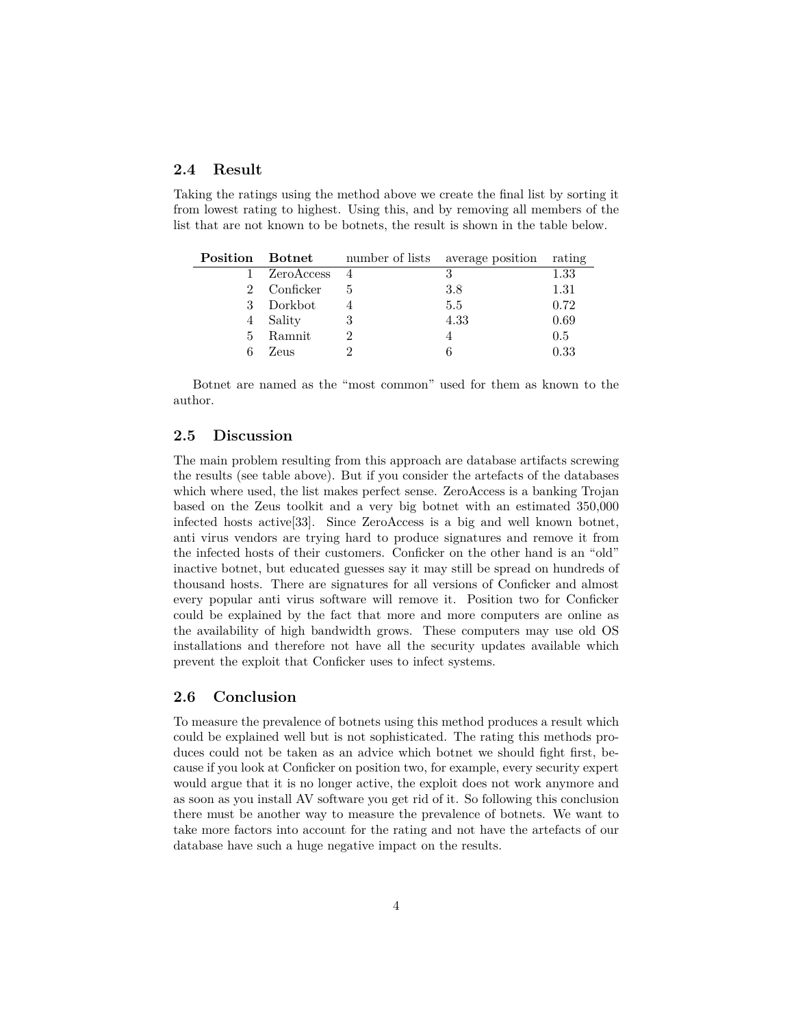### **2.4 Result**

Taking the ratings using the method above we create the final list by sorting it from lowest rating to highest. Using this, and by removing all members of the list that are not known to be botnets, the result is shown in the table below.

| Position Botnet |            | number of lists average position rating |         |
|-----------------|------------|-----------------------------------------|---------|
|                 | ZeroAccess | 3                                       | 1.33    |
|                 | Conficker  | 3.8                                     | 1.31    |
|                 | Dorkbot    | 5.5                                     | 0.72    |
|                 | 4 Sality   | 4.33                                    | 0.69    |
| 5               | Ramnit     |                                         | $0.5\,$ |
|                 | Zeus       |                                         | 0.33    |

Botnet are named as the "most common" used for them as known to the author.

### **2.5 Discussion**

The main problem resulting from this approach are database artifacts screwing the results (see table above). But if you consider the artefacts of the databases which where used, the list makes perfect sense. ZeroAccess is a banking Trojan based on the Zeus toolkit and a very big botnet with an estimated 350,000 infected hosts active[33]. Since ZeroAccess is a big and well known botnet, anti virus vendors are trying hard to produce signatures and remove it from the infected hosts of their customers. Conficker on the other hand is an "old" inactive botnet, but educated guesses say it may still be spread on hundreds of thousand hosts. There are signatures for all versions of Conficker and almost every popular anti virus software will remove it. Position two for Conficker could be explained by the fact that more and more computers are online as the availability of high bandwidth grows. These computers may use old OS installations and therefore not have all the security updates available which prevent the exploit that Conficker uses to infect systems.

### **2.6 Conclusion**

To measure the prevalence of botnets using this method produces a result which could be explained well but is not sophisticated. The rating this methods produces could not be taken as an advice which botnet we should fight first, because if you look at Conficker on position two, for example, every security expert would argue that it is no longer active, the exploit does not work anymore and as soon as you install AV software you get rid of it. So following this conclusion there must be another way to measure the prevalence of botnets. We want to take more factors into account for the rating and not have the artefacts of our database have such a huge negative impact on the results.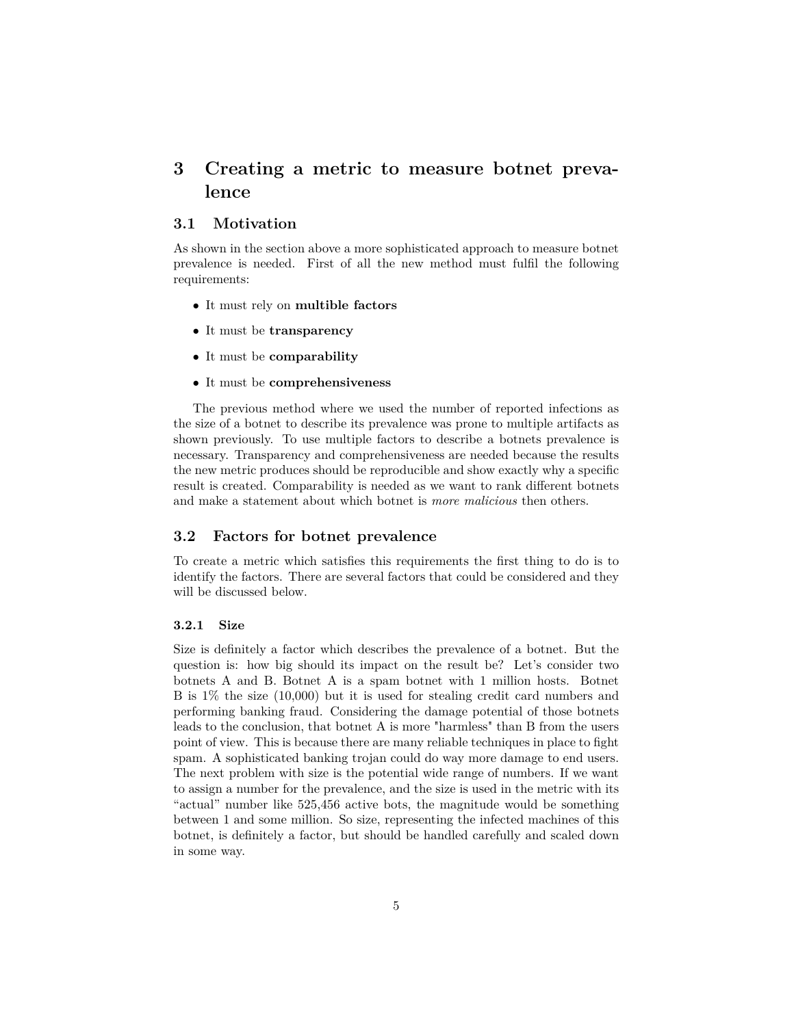# **3 Creating a metric to measure botnet prevalence**

### **3.1 Motivation**

As shown in the section above a more sophisticated approach to measure botnet prevalence is needed. First of all the new method must fulfil the following requirements:

- It must rely on **multible factors**
- It must be **transparency**
- It must be **comparability**
- It must be **comprehensiveness**

The previous method where we used the number of reported infections as the size of a botnet to describe its prevalence was prone to multiple artifacts as shown previously. To use multiple factors to describe a botnets prevalence is necessary. Transparency and comprehensiveness are needed because the results the new metric produces should be reproducible and show exactly why a specific result is created. Comparability is needed as we want to rank different botnets and make a statement about which botnet is *more malicious* then others.

### **3.2 Factors for botnet prevalence**

To create a metric which satisfies this requirements the first thing to do is to identify the factors. There are several factors that could be considered and they will be discussed below.

#### **3.2.1 Size**

Size is definitely a factor which describes the prevalence of a botnet. But the question is: how big should its impact on the result be? Let's consider two botnets A and B. Botnet A is a spam botnet with 1 million hosts. Botnet B is 1% the size (10,000) but it is used for stealing credit card numbers and performing banking fraud. Considering the damage potential of those botnets leads to the conclusion, that botnet A is more "harmless" than B from the users point of view. This is because there are many reliable techniques in place to fight spam. A sophisticated banking trojan could do way more damage to end users. The next problem with size is the potential wide range of numbers. If we want to assign a number for the prevalence, and the size is used in the metric with its "actual" number like 525,456 active bots, the magnitude would be something between 1 and some million. So size, representing the infected machines of this botnet, is definitely a factor, but should be handled carefully and scaled down in some way.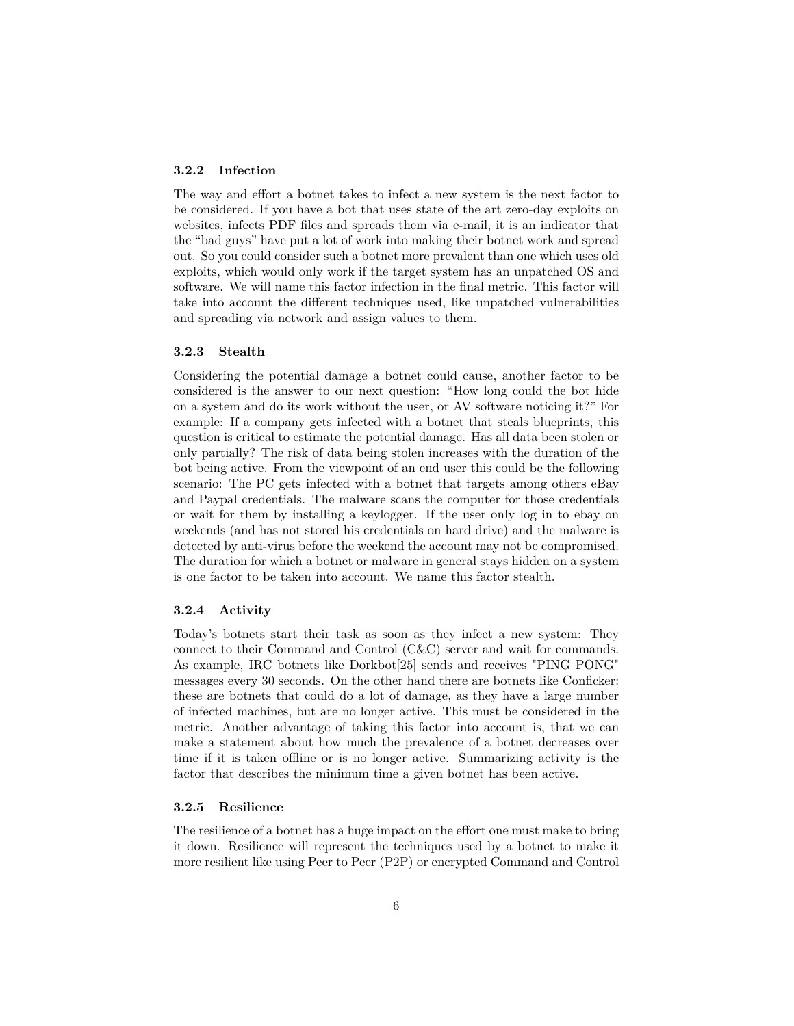#### **3.2.2 Infection**

The way and effort a botnet takes to infect a new system is the next factor to be considered. If you have a bot that uses state of the art zero-day exploits on websites, infects PDF files and spreads them via e-mail, it is an indicator that the "bad guys" have put a lot of work into making their botnet work and spread out. So you could consider such a botnet more prevalent than one which uses old exploits, which would only work if the target system has an unpatched OS and software. We will name this factor infection in the final metric. This factor will take into account the different techniques used, like unpatched vulnerabilities and spreading via network and assign values to them.

#### **3.2.3 Stealth**

Considering the potential damage a botnet could cause, another factor to be considered is the answer to our next question: "How long could the bot hide on a system and do its work without the user, or AV software noticing it?" For example: If a company gets infected with a botnet that steals blueprints, this question is critical to estimate the potential damage. Has all data been stolen or only partially? The risk of data being stolen increases with the duration of the bot being active. From the viewpoint of an end user this could be the following scenario: The PC gets infected with a botnet that targets among others eBay and Paypal credentials. The malware scans the computer for those credentials or wait for them by installing a keylogger. If the user only log in to ebay on weekends (and has not stored his credentials on hard drive) and the malware is detected by anti-virus before the weekend the account may not be compromised. The duration for which a botnet or malware in general stays hidden on a system is one factor to be taken into account. We name this factor stealth.

#### **3.2.4 Activity**

Today's botnets start their task as soon as they infect a new system: They connect to their Command and Control (C&C) server and wait for commands. As example, IRC botnets like Dorkbot[25] sends and receives "PING PONG" messages every 30 seconds. On the other hand there are botnets like Conficker: these are botnets that could do a lot of damage, as they have a large number of infected machines, but are no longer active. This must be considered in the metric. Another advantage of taking this factor into account is, that we can make a statement about how much the prevalence of a botnet decreases over time if it is taken offline or is no longer active. Summarizing activity is the factor that describes the minimum time a given botnet has been active.

#### **3.2.5 Resilience**

The resilience of a botnet has a huge impact on the effort one must make to bring it down. Resilience will represent the techniques used by a botnet to make it more resilient like using Peer to Peer (P2P) or encrypted Command and Control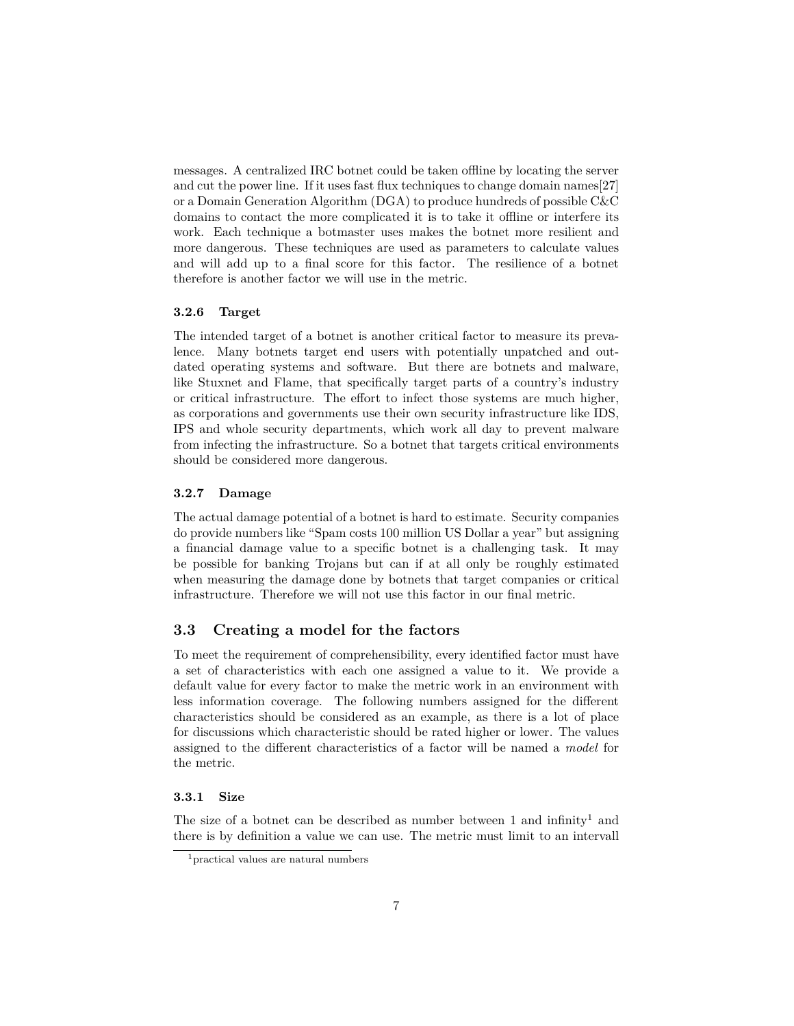messages. A centralized IRC botnet could be taken offline by locating the server and cut the power line. If it uses fast flux techniques to change domain names[27] or a Domain Generation Algorithm (DGA) to produce hundreds of possible C&C domains to contact the more complicated it is to take it offline or interfere its work. Each technique a botmaster uses makes the botnet more resilient and more dangerous. These techniques are used as parameters to calculate values and will add up to a final score for this factor. The resilience of a botnet therefore is another factor we will use in the metric.

#### **3.2.6 Target**

The intended target of a botnet is another critical factor to measure its prevalence. Many botnets target end users with potentially unpatched and outdated operating systems and software. But there are botnets and malware, like Stuxnet and Flame, that specifically target parts of a country's industry or critical infrastructure. The effort to infect those systems are much higher, as corporations and governments use their own security infrastructure like IDS, IPS and whole security departments, which work all day to prevent malware from infecting the infrastructure. So a botnet that targets critical environments should be considered more dangerous.

#### **3.2.7 Damage**

The actual damage potential of a botnet is hard to estimate. Security companies do provide numbers like "Spam costs 100 million US Dollar a year" but assigning a financial damage value to a specific botnet is a challenging task. It may be possible for banking Trojans but can if at all only be roughly estimated when measuring the damage done by botnets that target companies or critical infrastructure. Therefore we will not use this factor in our final metric.

### **3.3 Creating a model for the factors**

To meet the requirement of comprehensibility, every identified factor must have a set of characteristics with each one assigned a value to it. We provide a default value for every factor to make the metric work in an environment with less information coverage. The following numbers assigned for the different characteristics should be considered as an example, as there is a lot of place for discussions which characteristic should be rated higher or lower. The values assigned to the different characteristics of a factor will be named a *model* for the metric.

#### **3.3.1 Size**

The size of a botnet can be described as number between 1 and infinity<sup>1</sup> and there is by definition a value we can use. The metric must limit to an intervall

<sup>1</sup>practical values are natural numbers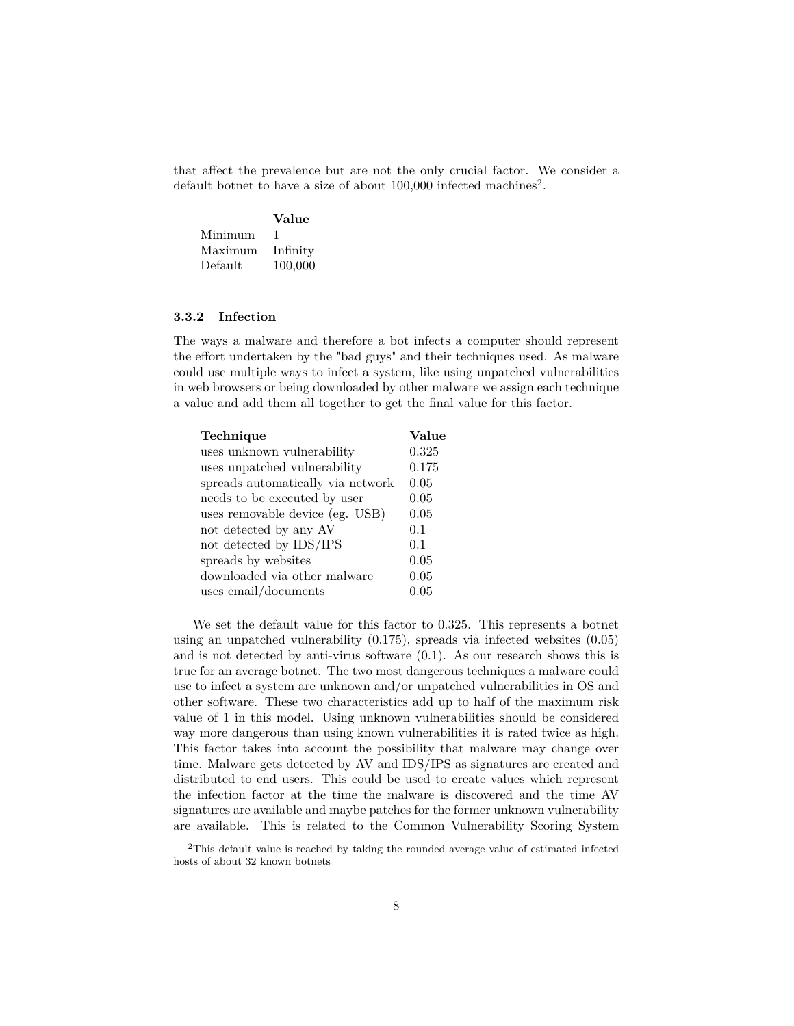that affect the prevalence but are not the only crucial factor. We consider a default botnet to have a size of about  $100,000$  infected machines<sup>2</sup>.

|         | Value    |
|---------|----------|
| Minimum |          |
| Maximum | Infinity |
| Default | 100,000  |

#### **3.3.2 Infection**

The ways a malware and therefore a bot infects a computer should represent the effort undertaken by the "bad guys" and their techniques used. As malware could use multiple ways to infect a system, like using unpatched vulnerabilities in web browsers or being downloaded by other malware we assign each technique a value and add them all together to get the final value for this factor.

| Technique                         | Value |
|-----------------------------------|-------|
| uses unknown vulnerability        | 0.325 |
| uses unpatched vulnerability      | 0.175 |
| spreads automatically via network | 0.05  |
| needs to be executed by user      | 0.05  |
| uses removable device (eg. USB)   | 0.05  |
| not detected by any AV            | 0.1   |
| not detected by IDS/IPS           | 0.1   |
| spreads by websites               | 0.05  |
| downloaded via other malware      | 0.05  |
| uses email/documents              | 0.05  |

We set the default value for this factor to 0.325. This represents a botnet using an unpatched vulnerability (0.175), spreads via infected websites (0.05) and is not detected by anti-virus software (0.1). As our research shows this is true for an average botnet. The two most dangerous techniques a malware could use to infect a system are unknown and/or unpatched vulnerabilities in OS and other software. These two characteristics add up to half of the maximum risk value of 1 in this model. Using unknown vulnerabilities should be considered way more dangerous than using known vulnerabilities it is rated twice as high. This factor takes into account the possibility that malware may change over time. Malware gets detected by AV and IDS/IPS as signatures are created and distributed to end users. This could be used to create values which represent the infection factor at the time the malware is discovered and the time AV signatures are available and maybe patches for the former unknown vulnerability are available. This is related to the Common Vulnerability Scoring System

 $2$ This default value is reached by taking the rounded average value of estimated infected hosts of about 32 known botnets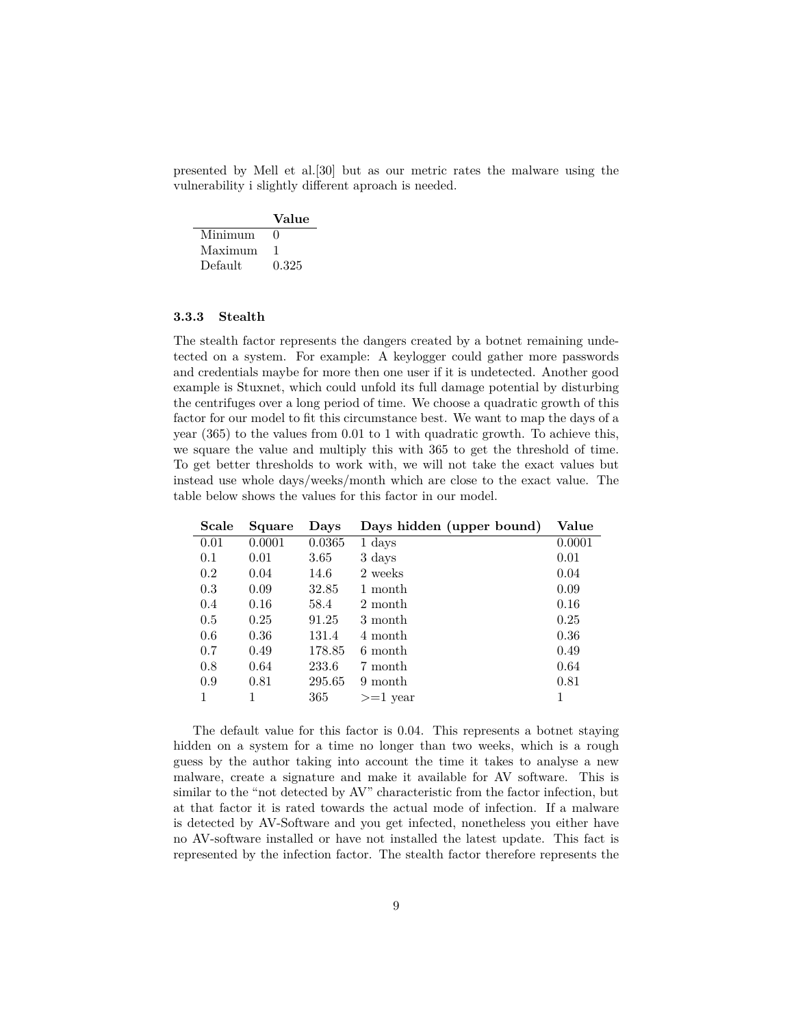presented by Mell et al.[30] but as our metric rates the malware using the vulnerability i slightly different aproach is needed.

|         | Value             |
|---------|-------------------|
| Minimum | $\mathbf{\Omega}$ |
| Maximum |                   |
| Default | 0.325             |

#### **3.3.3 Stealth**

The stealth factor represents the dangers created by a botnet remaining undetected on a system. For example: A keylogger could gather more passwords and credentials maybe for more then one user if it is undetected. Another good example is Stuxnet, which could unfold its full damage potential by disturbing the centrifuges over a long period of time. We choose a quadratic growth of this factor for our model to fit this circumstance best. We want to map the days of a year (365) to the values from 0.01 to 1 with quadratic growth. To achieve this, we square the value and multiply this with 365 to get the threshold of time. To get better thresholds to work with, we will not take the exact values but instead use whole days/weeks/month which are close to the exact value. The table below shows the values for this factor in our model.

| Scale | Square | Days   | Days hidden (upper bound) | Value  |
|-------|--------|--------|---------------------------|--------|
| 0.01  | 0.0001 | 0.0365 | 1 days                    | 0.0001 |
| 0.1   | 0.01   | 3.65   | 3 days                    | 0.01   |
| 0.2   | 0.04   | 14.6   | 2 weeks                   | 0.04   |
| 0.3   | 0.09   | 32.85  | 1 month                   | 0.09   |
| 0.4   | 0.16   | 58.4   | 2 month                   | 0.16   |
| 0.5   | 0.25   | 91.25  | 3 month                   | 0.25   |
| 0.6   | 0.36   | 131.4  | 4 month                   | 0.36   |
| 0.7   | 0.49   | 178.85 | 6 month                   | 0.49   |
| 0.8   | 0.64   | 233.6  | 7 month                   | 0.64   |
| 0.9   | 0.81   | 295.65 | 9 month                   | 0.81   |
| 1     |        | 365    | $>=1$ year                | 1      |

The default value for this factor is 0.04. This represents a botnet staying hidden on a system for a time no longer than two weeks, which is a rough guess by the author taking into account the time it takes to analyse a new malware, create a signature and make it available for AV software. This is similar to the "not detected by AV" characteristic from the factor infection, but at that factor it is rated towards the actual mode of infection. If a malware is detected by AV-Software and you get infected, nonetheless you either have no AV-software installed or have not installed the latest update. This fact is represented by the infection factor. The stealth factor therefore represents the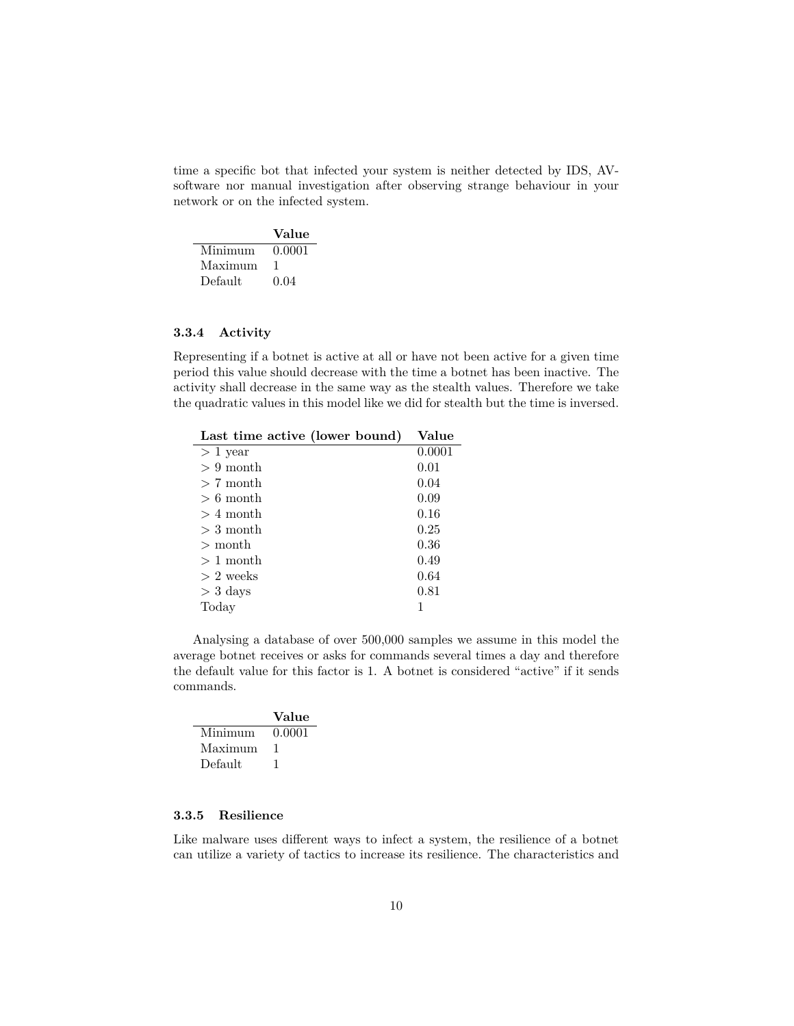time a specific bot that infected your system is neither detected by IDS, AVsoftware nor manual investigation after observing strange behaviour in your network or on the infected system.

|         | Value  |
|---------|--------|
| Minimum | 0.0001 |
| Maximum |        |
| Default | 0.04   |

#### **3.3.4 Activity**

Representing if a botnet is active at all or have not been active for a given time period this value should decrease with the time a botnet has been inactive. The activity shall decrease in the same way as the stealth values. Therefore we take the quadratic values in this model like we did for stealth but the time is inversed.

| Last time active (lower bound) | Value  |
|--------------------------------|--------|
| $>1$ year                      | 0.0001 |
| $> 9$ month                    | 0.01   |
| $> 7$ month                    | 0.04   |
| $> 6$ month                    | 0.09   |
| $>4$ month                     | 0.16   |
| $>$ 3 month                    | 0.25   |
| $>$ month                      | 0.36   |
| $>1$ month                     | 0.49   |
| $> 2$ weeks                    | 0.64   |
| $>$ 3 days                     | 0.81   |
| Today                          |        |
|                                |        |

Analysing a database of over 500,000 samples we assume in this model the average botnet receives or asks for commands several times a day and therefore the default value for this factor is 1. A botnet is considered "active" if it sends commands.

|         | Value  |
|---------|--------|
| Minimum | 0.0001 |
| Maximum |        |
| Default |        |

## **3.3.5 Resilience**

Like malware uses different ways to infect a system, the resilience of a botnet can utilize a variety of tactics to increase its resilience. The characteristics and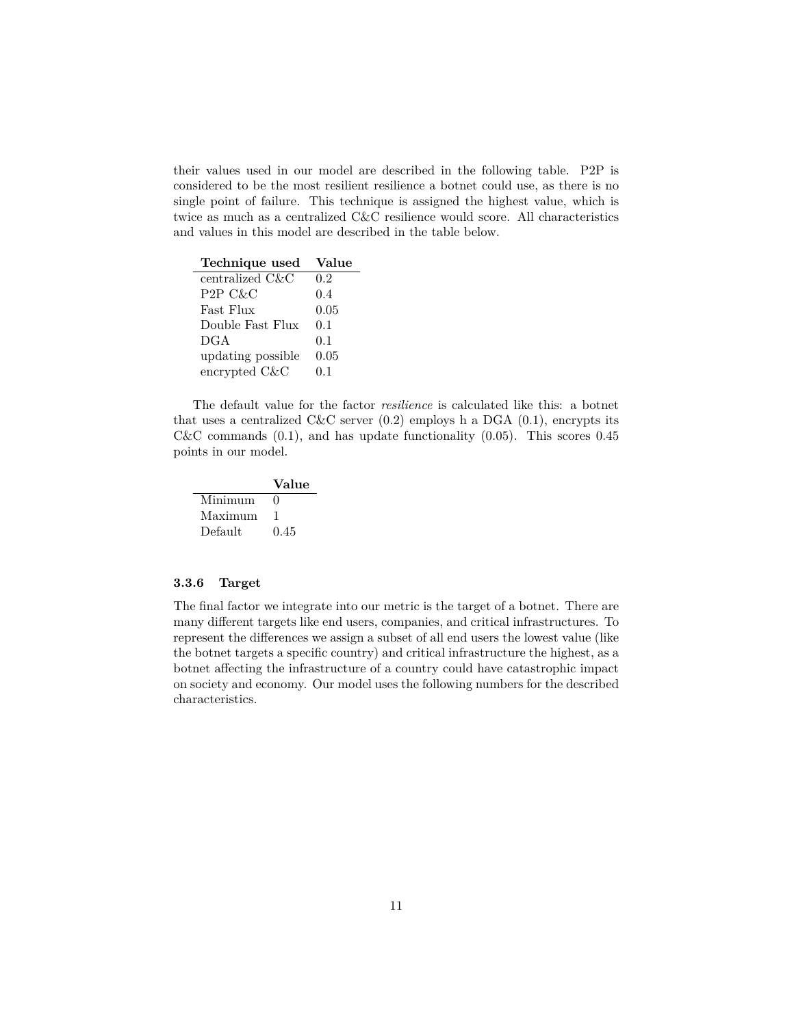their values used in our model are described in the following table. P2P is considered to be the most resilient resilience a botnet could use, as there is no single point of failure. This technique is assigned the highest value, which is twice as much as a centralized C&C resilience would score. All characteristics and values in this model are described in the table below.

| Technique used       | Value |
|----------------------|-------|
| centralized C&C      | 0.2   |
| P <sub>2</sub> P C&C | 0.4   |
| Fast Flux            | 0.05  |
| Double Fast Flux     | 0.1   |
| DGA.                 | 0.1   |
| updating possible    | 0.05  |
| encrypted C&C        | 0.1   |

The default value for the factor *resilience* is calculated like this: a botnet that uses a centralized C&C server  $(0.2)$  employs h a DGA  $(0.1)$ , encrypts its  $C&C$  commands  $(0.1)$ , and has update functionality  $(0.05)$ . This scores 0.45 points in our model.

|         | Value |
|---------|-------|
| Minimum | Ω     |
| Maximum |       |
| Default | 0.45  |

### **3.3.6 Target**

The final factor we integrate into our metric is the target of a botnet. There are many different targets like end users, companies, and critical infrastructures. To represent the differences we assign a subset of all end users the lowest value (like the botnet targets a specific country) and critical infrastructure the highest, as a botnet affecting the infrastructure of a country could have catastrophic impact on society and economy. Our model uses the following numbers for the described characteristics.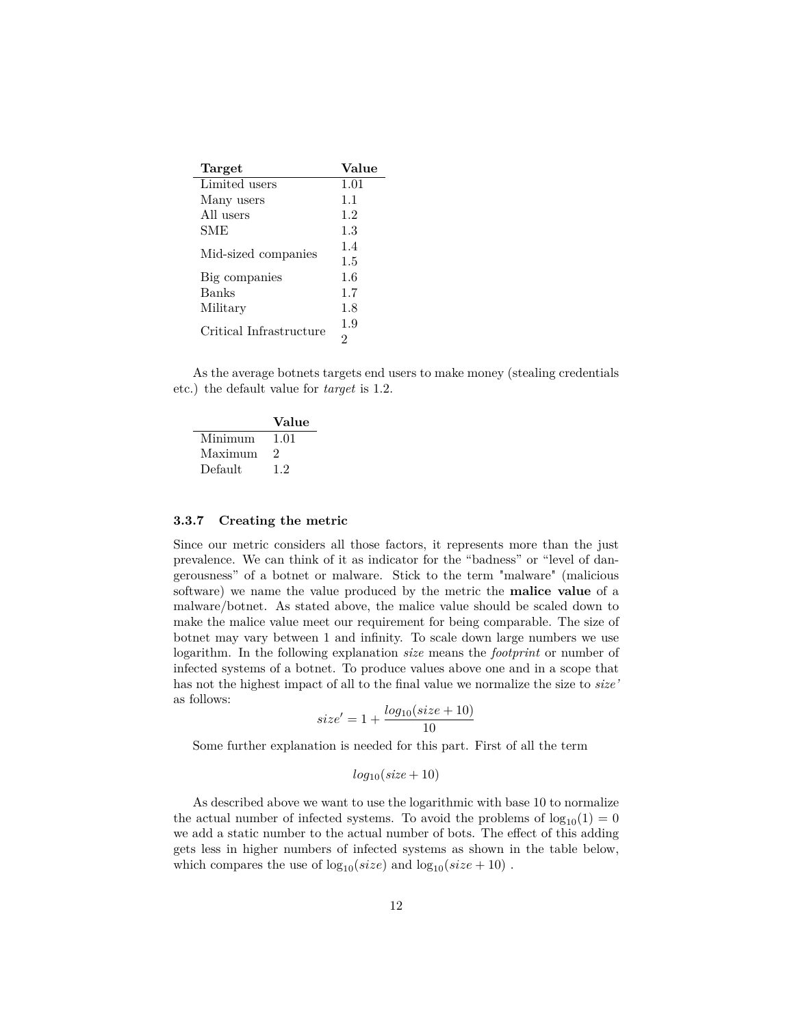| Target                  | Value |
|-------------------------|-------|
| Limited users           | 1.01  |
| Many users              | 1.1   |
| All users               | 1.2   |
| <b>SME</b>              | 1.3   |
| Mid-sized companies     | 1.4   |
|                         | 1.5   |
| Big companies           | 1.6   |
| Banks                   | 1.7   |
| Military                | 1.8   |
| Critical Infrastructure | 1.9   |
|                         | 2     |

As the average botnets targets end users to make money (stealing credentials etc.) the default value for *target* is 1.2.

|         | Value         |
|---------|---------------|
| Minimum | 1.01          |
| Maximum | '2            |
| Default | $\rightarrow$ |

#### **3.3.7 Creating the metric**

Since our metric considers all those factors, it represents more than the just prevalence. We can think of it as indicator for the "badness" or "level of dangerousness" of a botnet or malware. Stick to the term "malware" (malicious software) we name the value produced by the metric the **malice value** of a malware/botnet. As stated above, the malice value should be scaled down to make the malice value meet our requirement for being comparable. The size of botnet may vary between 1 and infinity. To scale down large numbers we use logarithm. In the following explanation *size* means the *footprint* or number of infected systems of a botnet. To produce values above one and in a scope that has not the highest impact of all to the final value we normalize the size to *size'* as follows:

$$
size' = 1 + \frac{log_{10}(size + 10)}{10}
$$

Some further explanation is needed for this part. First of all the term

$$
log_{10}(size+10)
$$

As described above we want to use the logarithmic with base 10 to normalize the actual number of infected systems. To avoid the problems of  $log_{10}(1) = 0$ we add a static number to the actual number of bots. The effect of this adding gets less in higher numbers of infected systems as shown in the table below, which compares the use of  $log_{10}(size)$  and  $log_{10}(size + 10)$ .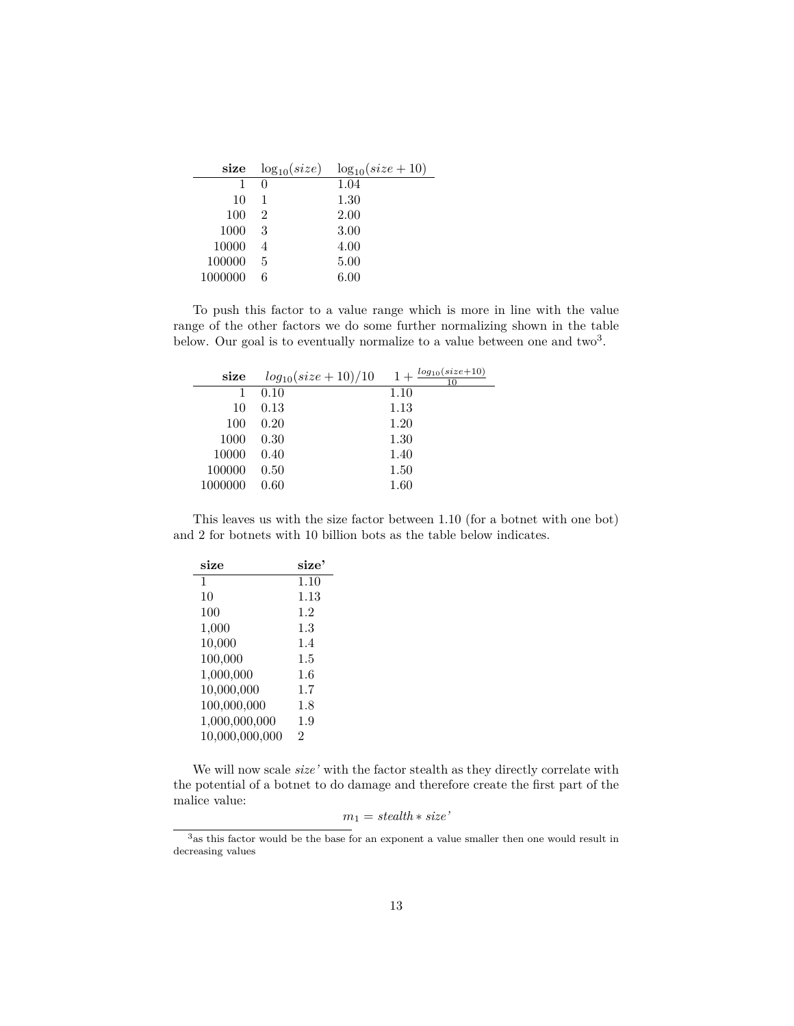| size    | $\log_{10}(size)$ | $\log_{10}(size+10)$ |
|---------|-------------------|----------------------|
|         | $\Omega$          | 1.04                 |
| 10      | 1                 | 1.30                 |
| 100     | $\mathfrak{D}$    | 2.00                 |
| 1000    | 3                 | 3.00                 |
| 10000   |                   | 4.00                 |
| 100000  | $\overline{5}$    | 5.00                 |
| 1000000 | 6                 | $6.00\,$             |

To push this factor to a value range which is more in line with the value range of the other factors we do some further normalizing shown in the table below. Our goal is to eventually normalize to a value between one and  $two<sup>3</sup>$ .

| size    | $log_{10}(size+10)/10$ | $log_{10}(size+10)$<br>$1+$<br>10 |
|---------|------------------------|-----------------------------------|
|         | 0.10                   | 1.10                              |
| 10      | 0.13                   | 1.13                              |
| 100     | 0.20                   | 1.20                              |
| 1000    | 0.30                   | 1.30                              |
| 10000   | 0.40                   | 1.40                              |
| 100000  | 0.50                   | 1.50                              |
| 1000000 | 0.60                   | 1.60                              |

This leaves us with the size factor between 1.10 (for a botnet with one bot) and 2 for botnets with 10 billion bots as the table below indicates.

| size           | size'   |
|----------------|---------|
| 1              | 1.10    |
| 10             | 1.13    |
| 100            | 1.2     |
| 1,000          | $1.3\,$ |
| 10,000         | 1.4     |
| 100,000        | 1.5     |
| 1,000,000      | 1.6     |
| 10,000,000     | 1.7     |
| 100,000,000    | $1.8\,$ |
| 1,000,000,000  | 1.9     |
| 10,000,000,000 | 2       |

We will now scale *size'* with the factor stealth as they directly correlate with the potential of a botnet to do damage and therefore create the first part of the malice value:

 $m_1 =$  *stealth*  $*$  *size*'

 $3$ as this factor would be the base for an exponent a value smaller then one would result in decreasing values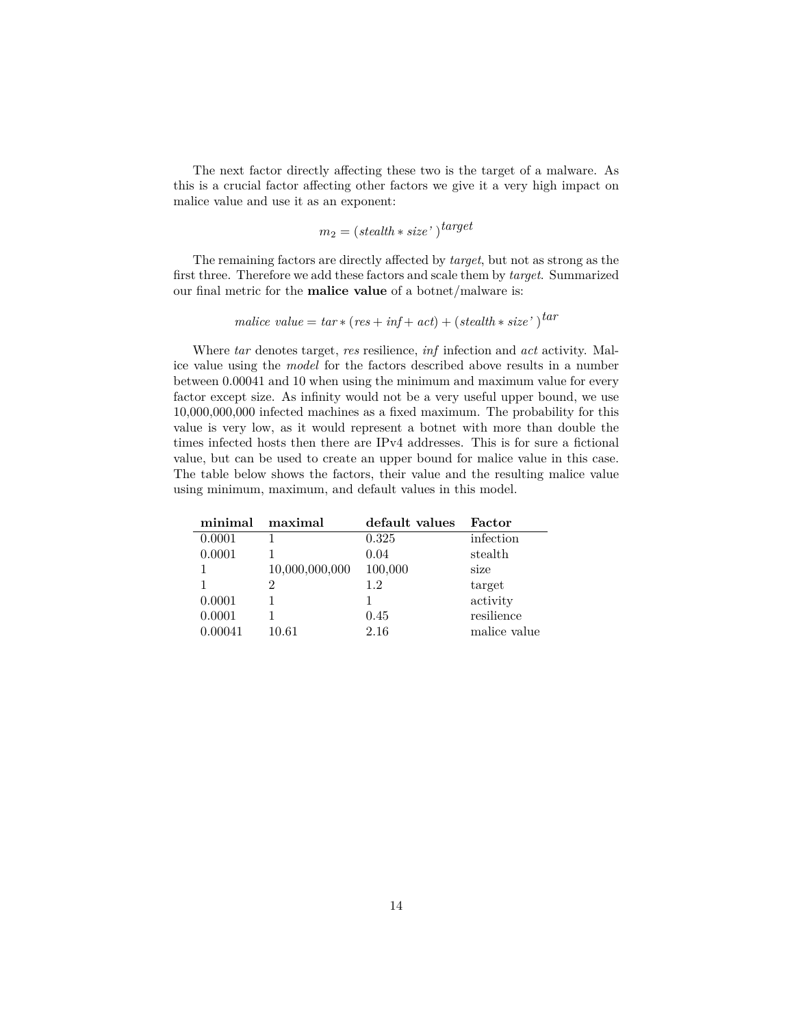The next factor directly affecting these two is the target of a malware. As this is a crucial factor affecting other factors we give it a very high impact on malice value and use it as an exponent:

$$
m_2 = (stealth * size^*)^{target}
$$

The remaining factors are directly affected by *target*, but not as strong as the first three. Therefore we add these factors and scale them by *target*. Summarized our final metric for the **malice value** of a botnet/malware is:

$$
malice value = tar * (res + inf + act) + (stealth * size')^{tar}
$$

Where *tar* denotes target, *res* resilience, *inf* infection and *act* activity. Malice value using the *model* for the factors described above results in a number between 0.00041 and 10 when using the minimum and maximum value for every factor except size. As infinity would not be a very useful upper bound, we use 10,000,000,000 infected machines as a fixed maximum. The probability for this value is very low, as it would represent a botnet with more than double the times infected hosts then there are IPv4 addresses. This is for sure a fictional value, but can be used to create an upper bound for malice value in this case. The table below shows the factors, their value and the resulting malice value using minimum, maximum, and default values in this model.

| minimal | maximal        | default values | Factor       |
|---------|----------------|----------------|--------------|
| 0.0001  |                | 0.325          | infection    |
| 0.0001  |                | 0.04           | stealth      |
|         | 10,000,000,000 | 100,000        | size         |
|         | 2              | 1.2            | target       |
| 0.0001  |                |                | activity     |
| 0.0001  |                | 0.45           | resilience   |
| 0.00041 | 10.61          | 2.16           | malice value |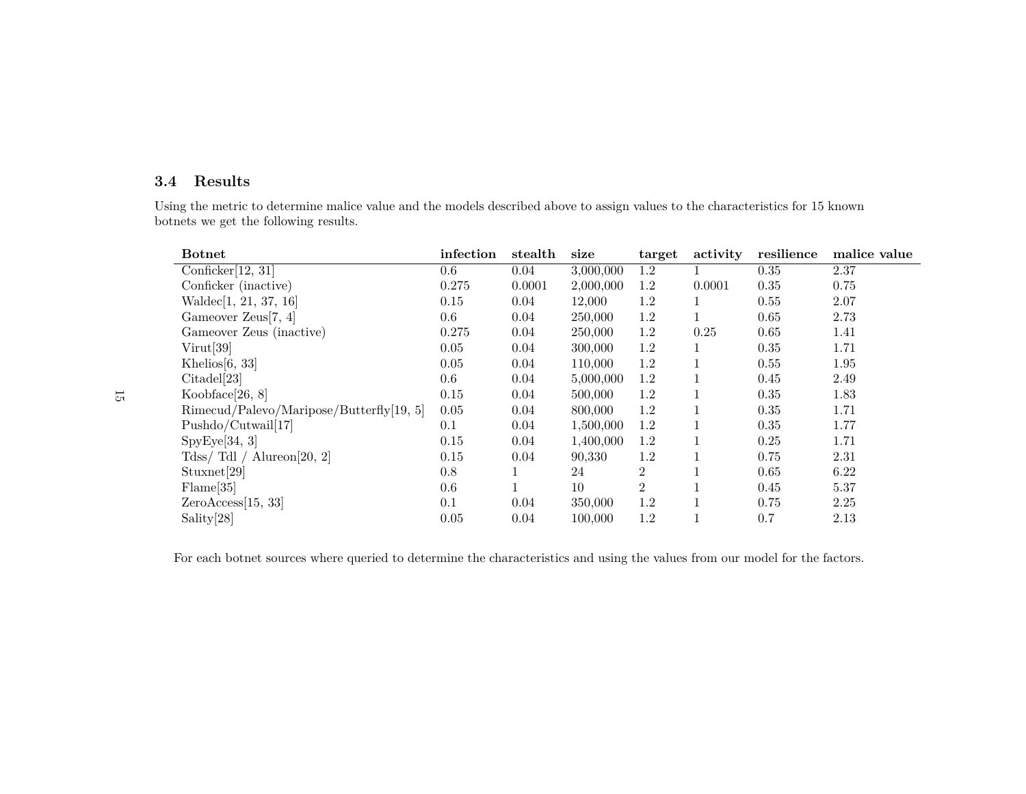# **3.4 Results**

Using the metric to determine malice value and the models described above to assign values to the characteristics for 15 knownbotnets we get the following results.

| <b>Botnet</b>                            | infection | stealth | size      | target         | activity     | resilience | malice value |
|------------------------------------------|-----------|---------|-----------|----------------|--------------|------------|--------------|
| Conficker[ $12, 31$ ]                    | $0.6\,$   | 0.04    | 3,000,000 | 1.2            |              | 0.35       | 2.37         |
| Conficker (inactive)                     | 0.275     | 0.0001  | 2,000,000 | 1.2            | 0.0001       | 0.35       | 0.75         |
| Waldec <sup>[1, 21, 37, 16]</sup>        | 0.15      | 0.04    | 12,000    | 1.2            |              | 0.55       | 2.07         |
| Gameover Zeus[7, 4]                      | $0.6\,$   | 0.04    | 250,000   | 1.2            |              | 0.65       | 2.73         |
| Gameover Zeus (inactive)                 | 0.275     | 0.04    | 250,000   | 1.2            | 0.25         | 0.65       | 1.41         |
| $V$ irut $[39]$                          | 0.05      | 0.04    | 300,000   | 1.2            | 1            | 0.35       | 1.71         |
| Khelios $[6, 33]$                        | 0.05      | 0.04    | 110,000   | 1.2            |              | 0.55       | 1.95         |
| Citadel[23]                              | $0.6\,$   | 0.04    | 5,000,000 | 1.2            |              | 0.45       | 2.49         |
| Koobface[ $26, 8$ ]                      | $0.15\,$  | 0.04    | 500,000   | 1.2            |              | 0.35       | 1.83         |
| Rimecud/Palevo/Maripose/Butterfly[19, 5] | $0.05\,$  | 0.04    | 800,000   | 1.2            | $\mathbf{1}$ | 0.35       | 1.71         |
| Pushdo/Cutwail[17]                       | 0.1       | 0.04    | 1,500,000 | 1.2            |              | 0.35       | 1.77         |
| SpyEye[34, 3]                            | 0.15      | 0.04    | 1,400,000 | 1.2            |              | 0.25       | 1.71         |
| Tdss/ Tdl / Alureon[20, 2]               | 0.15      | 0.04    | 90,330    | 1.2            |              | 0.75       | 2.31         |
| Stuxnet <sup>[29]</sup>                  | 0.8       | T.      | 24        | $\overline{2}$ |              | 0.65       | 6.22         |
| Flame[35]                                | $0.6\,$   | $\perp$ | 10        | $\overline{2}$ | T            | 0.45       | 5.37         |
| ZeroAccess[15, 33]                       | 0.1       | 0.04    | 350,000   | 1.2            |              | 0.75       | 2.25         |
| Sality[28]                               | 0.05      | 0.04    | 100,000   | 1.2            |              | 0.7        | 2.13         |

For each botnet sources where queried to determine the characteristics and using the values from our model for the factors.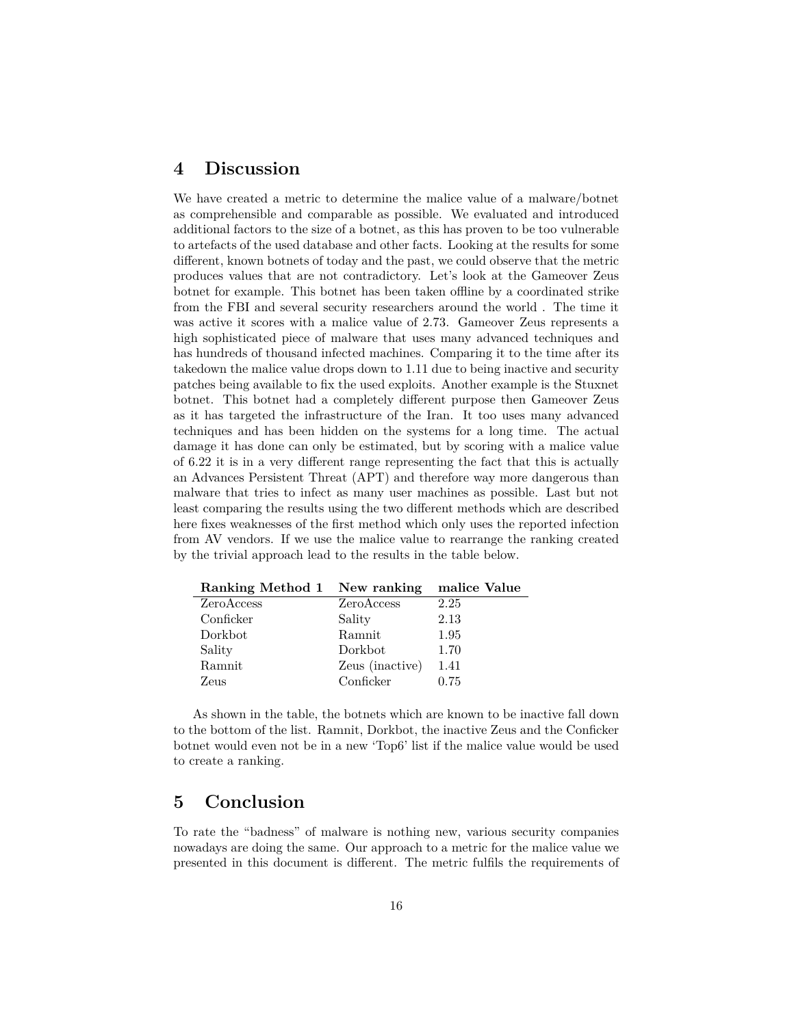# **4 Discussion**

We have created a metric to determine the malice value of a malware/botnet as comprehensible and comparable as possible. We evaluated and introduced additional factors to the size of a botnet, as this has proven to be too vulnerable to artefacts of the used database and other facts. Looking at the results for some different, known botnets of today and the past, we could observe that the metric produces values that are not contradictory. Let's look at the Gameover Zeus botnet for example. This botnet has been taken offline by a coordinated strike from the FBI and several security researchers around the world . The time it was active it scores with a malice value of 2.73. Gameover Zeus represents a high sophisticated piece of malware that uses many advanced techniques and has hundreds of thousand infected machines. Comparing it to the time after its takedown the malice value drops down to 1.11 due to being inactive and security patches being available to fix the used exploits. Another example is the Stuxnet botnet. This botnet had a completely different purpose then Gameover Zeus as it has targeted the infrastructure of the Iran. It too uses many advanced techniques and has been hidden on the systems for a long time. The actual damage it has done can only be estimated, but by scoring with a malice value of 6.22 it is in a very different range representing the fact that this is actually an Advances Persistent Threat (APT) and therefore way more dangerous than malware that tries to infect as many user machines as possible. Last but not least comparing the results using the two different methods which are described here fixes weaknesses of the first method which only uses the reported infection from AV vendors. If we use the malice value to rearrange the ranking created by the trivial approach lead to the results in the table below.

| Ranking Method 1 New ranking malice Value |      |
|-------------------------------------------|------|
| ZeroAccess                                | 2.25 |
| Sality                                    | 2.13 |
| Ramnit                                    | 1.95 |
| Dorkbot                                   | 1.70 |
| Zeus (inactive)                           | 1.41 |
| Conficker                                 | 0.75 |
|                                           |      |

As shown in the table, the botnets which are known to be inactive fall down to the bottom of the list. Ramnit, Dorkbot, the inactive Zeus and the Conficker botnet would even not be in a new 'Top6' list if the malice value would be used to create a ranking.

# **5 Conclusion**

To rate the "badness" of malware is nothing new, various security companies nowadays are doing the same. Our approach to a metric for the malice value we presented in this document is different. The metric fulfils the requirements of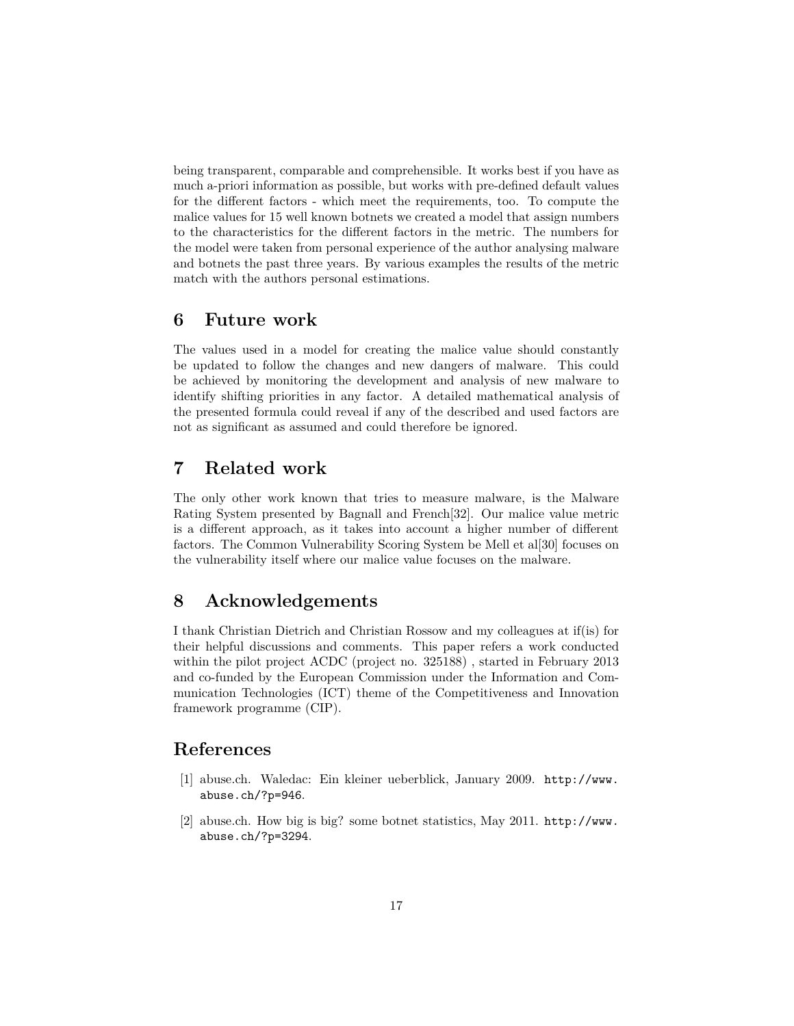being transparent, comparable and comprehensible. It works best if you have as much a-priori information as possible, but works with pre-defined default values for the different factors - which meet the requirements, too. To compute the malice values for 15 well known botnets we created a model that assign numbers to the characteristics for the different factors in the metric. The numbers for the model were taken from personal experience of the author analysing malware and botnets the past three years. By various examples the results of the metric match with the authors personal estimations.

# **6 Future work**

The values used in a model for creating the malice value should constantly be updated to follow the changes and new dangers of malware. This could be achieved by monitoring the development and analysis of new malware to identify shifting priorities in any factor. A detailed mathematical analysis of the presented formula could reveal if any of the described and used factors are not as significant as assumed and could therefore be ignored.

# **7 Related work**

The only other work known that tries to measure malware, is the Malware Rating System presented by Bagnall and French[32]. Our malice value metric is a different approach, as it takes into account a higher number of different factors. The Common Vulnerability Scoring System be Mell et al[30] focuses on the vulnerability itself where our malice value focuses on the malware.

# **8 Acknowledgements**

I thank Christian Dietrich and Christian Rossow and my colleagues at if(is) for their helpful discussions and comments. This paper refers a work conducted within the pilot project ACDC (project no. 325188) , started in February 2013 and co-funded by the European Commission under the Information and Communication Technologies (ICT) theme of the Competitiveness and Innovation framework programme (CIP).

# **References**

- [1] abuse.ch. Waledac: Ein kleiner ueberblick, January 2009. http://www. abuse.ch/?p=946.
- [2] abuse.ch. How big is big? some botnet statistics, May 2011. http://www. abuse.ch/?p=3294.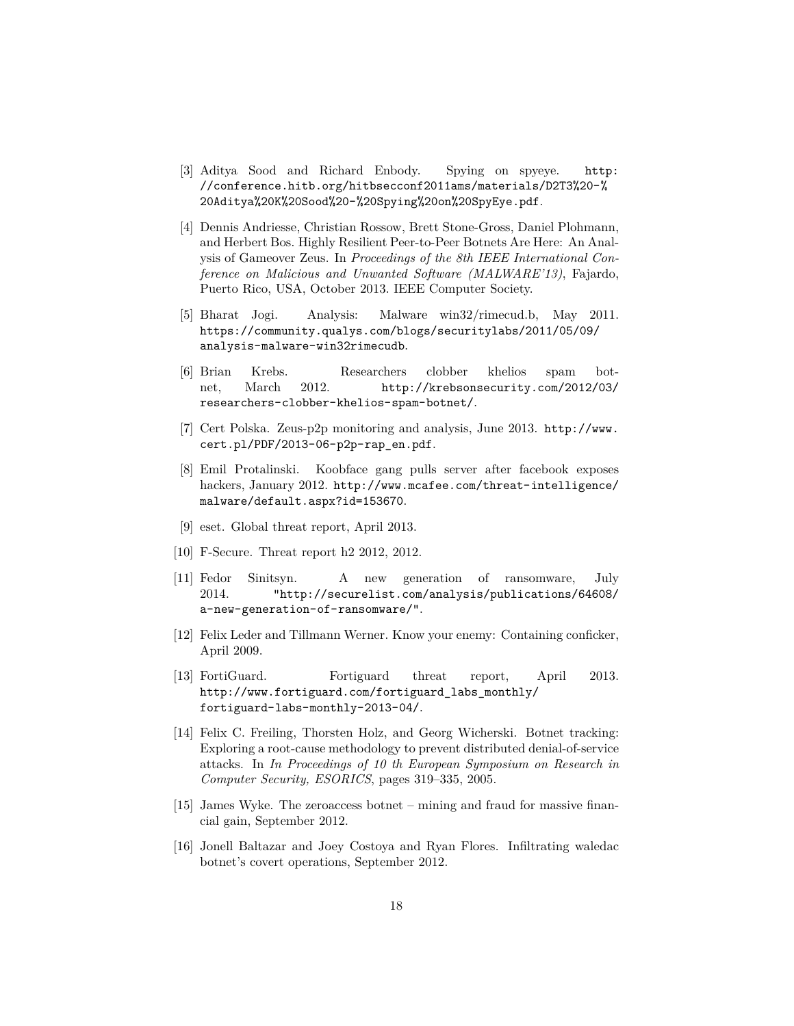- [3] Aditya Sood and Richard Enbody. Spying on spyeye. http: //conference.hitb.org/hitbsecconf2011ams/materials/D2T3%20-% 20Aditya%20K%20Sood%20-%20Spying%20on%20SpyEye.pdf.
- [4] Dennis Andriesse, Christian Rossow, Brett Stone-Gross, Daniel Plohmann, and Herbert Bos. Highly Resilient Peer-to-Peer Botnets Are Here: An Analysis of Gameover Zeus. In *Proceedings of the 8th IEEE International Conference on Malicious and Unwanted Software (MALWARE'13)*, Fajardo, Puerto Rico, USA, October 2013. IEEE Computer Society.
- [5] Bharat Jogi. Analysis: Malware win32/rimecud.b, May 2011. https://community.qualys.com/blogs/securitylabs/2011/05/09/ analysis-malware-win32rimecudb.
- [6] Brian Krebs. Researchers clobber khelios spam botnet, March 2012. http://krebsonsecurity.com/2012/03/ researchers-clobber-khelios-spam-botnet/.
- [7] Cert Polska. Zeus-p2p monitoring and analysis, June 2013. http://www. cert.pl/PDF/2013-06-p2p-rap\_en.pdf.
- [8] Emil Protalinski. Koobface gang pulls server after facebook exposes hackers, January 2012. http://www.mcafee.com/threat-intelligence/ malware/default.aspx?id=153670.
- [9] eset. Global threat report, April 2013.
- [10] F-Secure. Threat report h2 2012, 2012.
- [11] Fedor Sinitsyn. A new generation of ransomware, July 2014. "http://securelist.com/analysis/publications/64608/ a-new-generation-of-ransomware/".
- [12] Felix Leder and Tillmann Werner. Know your enemy: Containing conficker, April 2009.
- [13] FortiGuard. Fortiguard threat report, April 2013. http://www.fortiguard.com/fortiguard\_labs\_monthly/ fortiguard-labs-monthly-2013-04/.
- [14] Felix C. Freiling, Thorsten Holz, and Georg Wicherski. Botnet tracking: Exploring a root-cause methodology to prevent distributed denial-of-service attacks. In *In Proceedings of 10 th European Symposium on Research in Computer Security, ESORICS*, pages 319–335, 2005.
- [15] James Wyke. The zeroaccess botnet mining and fraud for massive financial gain, September 2012.
- [16] Jonell Baltazar and Joey Costoya and Ryan Flores. Infiltrating waledac botnet's covert operations, September 2012.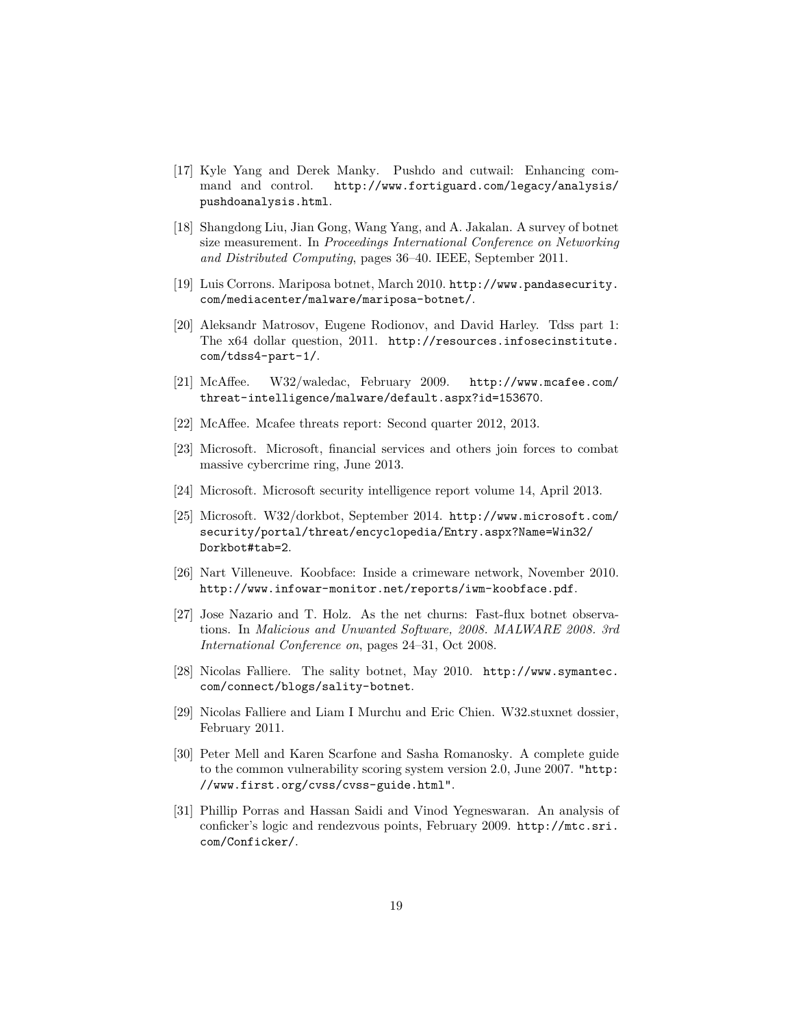- [17] Kyle Yang and Derek Manky. Pushdo and cutwail: Enhancing command and control. http://www.fortiguard.com/legacy/analysis/ pushdoanalysis.html.
- [18] Shangdong Liu, Jian Gong, Wang Yang, and A. Jakalan. A survey of botnet size measurement. In *Proceedings International Conference on Networking and Distributed Computing*, pages 36–40. IEEE, September 2011.
- [19] Luis Corrons. Mariposa botnet, March 2010. http://www.pandasecurity. com/mediacenter/malware/mariposa-botnet/.
- [20] Aleksandr Matrosov, Eugene Rodionov, and David Harley. Tdss part 1: The x64 dollar question, 2011. http://resources.infosecinstitute. com/tdss4-part-1/.
- [21] McAffee. W32/waledac, February 2009. http://www.mcafee.com/ threat-intelligence/malware/default.aspx?id=153670.
- [22] McAffee. Mcafee threats report: Second quarter 2012, 2013.
- [23] Microsoft. Microsoft, financial services and others join forces to combat massive cybercrime ring, June 2013.
- [24] Microsoft. Microsoft security intelligence report volume 14, April 2013.
- [25] Microsoft. W32/dorkbot, September 2014. http://www.microsoft.com/ security/portal/threat/encyclopedia/Entry.aspx?Name=Win32/ Dorkbot#tab=2.
- [26] Nart Villeneuve. Koobface: Inside a crimeware network, November 2010. http://www.infowar-monitor.net/reports/iwm-koobface.pdf.
- [27] Jose Nazario and T. Holz. As the net churns: Fast-flux botnet observations. In *Malicious and Unwanted Software, 2008. MALWARE 2008. 3rd International Conference on*, pages 24–31, Oct 2008.
- [28] Nicolas Falliere. The sality botnet, May 2010. http://www.symantec. com/connect/blogs/sality-botnet.
- [29] Nicolas Falliere and Liam I Murchu and Eric Chien. W32.stuxnet dossier, February 2011.
- [30] Peter Mell and Karen Scarfone and Sasha Romanosky. A complete guide to the common vulnerability scoring system version 2.0, June 2007. "http: //www.first.org/cvss/cvss-guide.html".
- [31] Phillip Porras and Hassan Saidi and Vinod Yegneswaran. An analysis of conficker's logic and rendezvous points, February 2009. http://mtc.sri. com/Conficker/.